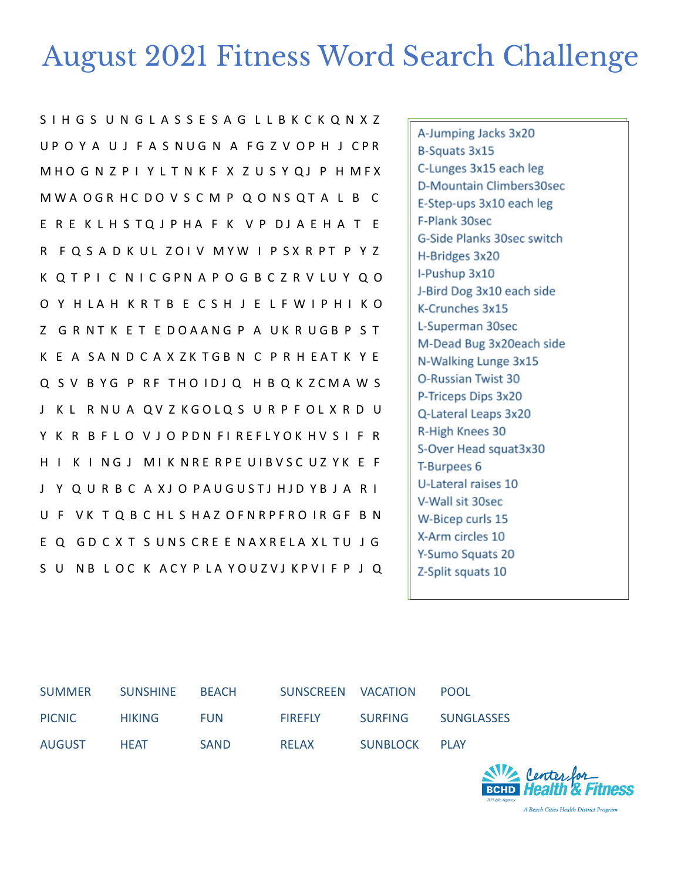## August 2021 Fitness Word Search Challenge

S I H G S U N G L A S S E S A G L L B K C K Q N X Z U P O Y A U J F A S NUG N A F G Z V O P H J C P R M H O G N Z P I Y L T N K F X Z U S Y Q J P H M F X M W A O G R H C D O V S C M P Q O N S Q T A L B C E R E K L H S T Q J P H A F K V P D J A E H A T E R F Q S A D K UL ZOI V M Y W I P S X R P T P Y Z K Q T P I C N I C G P N A P O G B C Z R V L U Y Q O O Y H LA H K R T B E C S H J E L F W I P H I K O Z G R N T K E T E DOAANG P A UK R U G B P S T K E A SA N D C A X Z K T G B N C P R H E A T K Y E Q S V B Y G P R F T H O I D J Q H B Q K Z C M A W S J K L R NU A Q V Z K G O L Q S U R P F O L X R D U Y K R B F L O V J O P D N F I R E F L Y O K H V S I F R H I K I N G J M I K N R E R P E U I B V S C U Z Y K E F J Y Q U R B C A X J O PAU GUST J H J D Y B J A R I U F VK TQ B C HL S HAZ OFNRPFRO IR GF B N E Q GD C X T S UNS CRE E NAXRELA XL TU J G S U NB L O C K A C Y P LA YOU Z V J K P V I F P J Q

A-Jumping Jacks 3x20 B-Squats 3x15 C-Lunges 3x15 each leg D-Mountain Climbers30sec E-Step-ups 3x10 each leg F-Plank 30sec G-Side Planks 30sec switch H-Bridges 3x20 I-Pushup 3x10 J-Bird Dog 3x10 each side K-Crunches 3x15 L-Superman 30sec M-Dead Bug 3x20each side N-Walking Lunge 3x15 O-Russian Twist 30 P-Triceps Dips 3x20 Q-Lateral Leaps 3x20 R-High Knees 30 S-Over Head squat3x30 T-Burpees 6 U-Lateral raises 10 V-Wall sit 30sec W-Bicep curls 15 X-Arm circles 10 Y-Sumo Squats 20 Z-Split squats 10

| <b>SUMMER</b> | <b>SUNSHINE</b> | <b>BFACH</b> | SUNSCREEN VACATION |                | <b>POOL</b>       |
|---------------|-----------------|--------------|--------------------|----------------|-------------------|
| <b>PICNIC</b> | <b>HIKING</b>   | <b>FUN</b>   | <b>FIRFFLY</b>     | <b>SURFING</b> | <b>SUNGLASSES</b> |
| <b>AUGUST</b> | <b>HFAT</b>     | <b>SAND</b>  | <b>RFLAX</b>       | SUNBLOCK       | <b>PI AY</b>      |